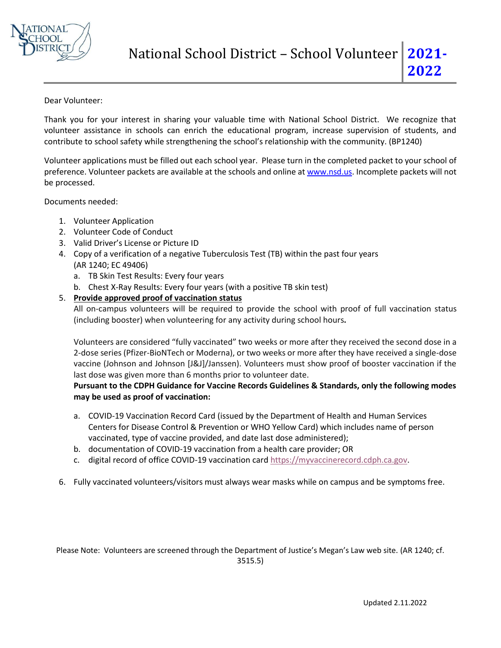

## Dear Volunteer:

 Thank you for your interest in sharing your valuable time with National School District. We recognize that volunteer assistance in schools can enrich the educational program, increase supervision of students, and contribute to school safety while strengthening the school's relationship with the community. (BP1240)

 Volunteer applications must be filled out each school year. Please turn in the completed packet to your school of preference. Volunteer packets are available at the schools and online a[t www.nsd.us.](http://www.nsd.us/) Incomplete packets will not be processed.

Documents needed:

- 1. Volunteer Application
- 2. Volunteer Code of Conduct
- 3. Valid Driver's License or Picture ID
- 4. Copy of a verification of a negative Tuberculosis Test (TB) within the past four years (AR 1240; EC 49406)
	- a. TB Skin Test Results: Every four years
	- b. Chest X-Ray Results: Every four years (with a positive TB skin test)

## 5. **Provide approved proof of vaccination status**

 All on-campus volunteers will be required to provide the school with proof of full vaccination status (including booster) when volunteering for any activity during school hours**.**

 Volunteers are considered "fully vaccinated" two weeks or more after they received the second dose in a vaccine (Johnson and Johnson [J&J]/Janssen). Volunteers must show proof of booster vaccination if the 2-dose series (Pfizer-BioNTech or Moderna), or two weeks or more after they have received a single-dose last dose was given more than 6 months prior to volunteer date.

## **Pursuant to the CDPH Guidance for Vaccine Records Guidelines & Standards, only the following modes may be used as proof of vaccination:**

- Centers for Disease Control & Prevention or WHO Yellow Card) which includes name of person a. COVID-19 Vaccination Record Card (issued by the Department of Health and Human Services vaccinated, type of vaccine provided, and date last dose administered);
- b. documentation of COVID-19 vaccination from a health care provider; OR
- c. digital record of office COVID-19 vaccination car[d https://myvaccinerecord.cdph.ca.gov.](https://myvaccinerecord.cdph.ca.gov/)
- 6. Fully vaccinated volunteers/visitors must always wear masks while on campus and be symptoms free.

 Please Note: Volunteers are screened through the Department of Justice's Megan's Law web site. (AR 1240; cf. 3515.5)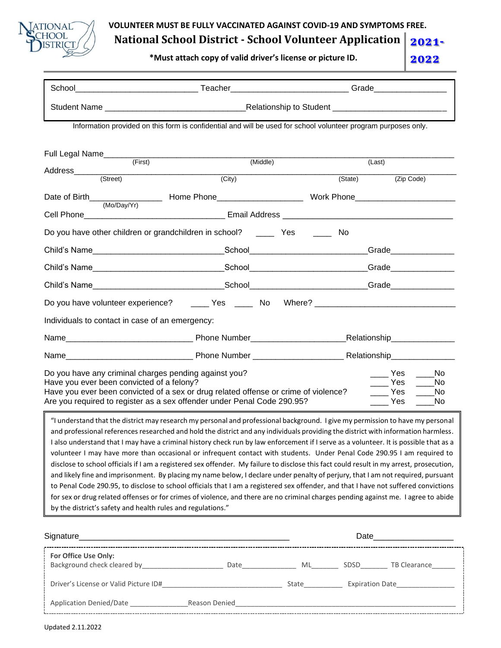

**VOLUNTEER MUST BE FULLY VACCINATED AGAINST COVID-19 AND SYMPTOMS FREE.** 

**National School District - School Volunteer Application** 

**\*Must attach copy of valid driver's license or picture ID.**

**12021- 2021- 2022 2022**

|                                                                                                    | Information provided on this form is confidential and will be used for school volunteer program purposes only.                                                                                                                                                                                                                                                                                                                                                                                                                                                                                                                                                                                                                                                                                                                                                                                                                                                                                                                                                                                        |  |        |                                                                     |  |
|----------------------------------------------------------------------------------------------------|-------------------------------------------------------------------------------------------------------------------------------------------------------------------------------------------------------------------------------------------------------------------------------------------------------------------------------------------------------------------------------------------------------------------------------------------------------------------------------------------------------------------------------------------------------------------------------------------------------------------------------------------------------------------------------------------------------------------------------------------------------------------------------------------------------------------------------------------------------------------------------------------------------------------------------------------------------------------------------------------------------------------------------------------------------------------------------------------------------|--|--------|---------------------------------------------------------------------|--|
|                                                                                                    |                                                                                                                                                                                                                                                                                                                                                                                                                                                                                                                                                                                                                                                                                                                                                                                                                                                                                                                                                                                                                                                                                                       |  |        |                                                                     |  |
| Full Legal Name (First)                                                                            | (Middle)                                                                                                                                                                                                                                                                                                                                                                                                                                                                                                                                                                                                                                                                                                                                                                                                                                                                                                                                                                                                                                                                                              |  | (Last) |                                                                     |  |
|                                                                                                    | $\overline{(City)}$                                                                                                                                                                                                                                                                                                                                                                                                                                                                                                                                                                                                                                                                                                                                                                                                                                                                                                                                                                                                                                                                                   |  |        | (State) (Zip Code)                                                  |  |
|                                                                                                    |                                                                                                                                                                                                                                                                                                                                                                                                                                                                                                                                                                                                                                                                                                                                                                                                                                                                                                                                                                                                                                                                                                       |  |        |                                                                     |  |
| (Mo/Day/Yr)                                                                                        |                                                                                                                                                                                                                                                                                                                                                                                                                                                                                                                                                                                                                                                                                                                                                                                                                                                                                                                                                                                                                                                                                                       |  |        |                                                                     |  |
|                                                                                                    | Do you have other children or grandchildren in school? ________ Yes _______                                                                                                                                                                                                                                                                                                                                                                                                                                                                                                                                                                                                                                                                                                                                                                                                                                                                                                                                                                                                                           |  | No     |                                                                     |  |
|                                                                                                    |                                                                                                                                                                                                                                                                                                                                                                                                                                                                                                                                                                                                                                                                                                                                                                                                                                                                                                                                                                                                                                                                                                       |  |        |                                                                     |  |
|                                                                                                    |                                                                                                                                                                                                                                                                                                                                                                                                                                                                                                                                                                                                                                                                                                                                                                                                                                                                                                                                                                                                                                                                                                       |  |        |                                                                     |  |
|                                                                                                    |                                                                                                                                                                                                                                                                                                                                                                                                                                                                                                                                                                                                                                                                                                                                                                                                                                                                                                                                                                                                                                                                                                       |  |        |                                                                     |  |
|                                                                                                    |                                                                                                                                                                                                                                                                                                                                                                                                                                                                                                                                                                                                                                                                                                                                                                                                                                                                                                                                                                                                                                                                                                       |  |        |                                                                     |  |
| Individuals to contact in case of an emergency:                                                    |                                                                                                                                                                                                                                                                                                                                                                                                                                                                                                                                                                                                                                                                                                                                                                                                                                                                                                                                                                                                                                                                                                       |  |        |                                                                     |  |
|                                                                                                    |                                                                                                                                                                                                                                                                                                                                                                                                                                                                                                                                                                                                                                                                                                                                                                                                                                                                                                                                                                                                                                                                                                       |  |        |                                                                     |  |
|                                                                                                    |                                                                                                                                                                                                                                                                                                                                                                                                                                                                                                                                                                                                                                                                                                                                                                                                                                                                                                                                                                                                                                                                                                       |  |        |                                                                     |  |
| Do you have any criminal charges pending against you?<br>Have you ever been convicted of a felony? | Have you ever been convicted of a sex or drug related offense or crime of violence?<br>Are you required to register as a sex offender under Penal Code 290.95?                                                                                                                                                                                                                                                                                                                                                                                                                                                                                                                                                                                                                                                                                                                                                                                                                                                                                                                                        |  |        | Yes No<br>Yes No<br>Yes<br>No<br><b>Paragona Press</b><br><b>No</b> |  |
| by the district's safety and health rules and regulations."                                        | "I understand that the district may research my personal and professional background. I give my permission to have my personal<br>and professional references researched and hold the district and any individuals providing the district with information harmless.<br>I also understand that I may have a criminal history check run by law enforcement if I serve as a volunteer. It is possible that as a<br>volunteer I may have more than occasional or infrequent contact with students. Under Penal Code 290.95 I am required to<br>disclose to school officials if I am a registered sex offender. My failure to disclose this fact could result in my arrest, prosecution,<br>and likely fine and imprisonment. By placing my name below, I declare under penalty of perjury, that I am not required, pursuant<br>to Penal Code 290.95, to disclose to school officials that I am a registered sex offender, and that I have not suffered convictions<br>for sex or drug related offenses or for crimes of violence, and there are no criminal charges pending against me. I agree to abide |  |        |                                                                     |  |
|                                                                                                    |                                                                                                                                                                                                                                                                                                                                                                                                                                                                                                                                                                                                                                                                                                                                                                                                                                                                                                                                                                                                                                                                                                       |  |        |                                                                     |  |
|                                                                                                    |                                                                                                                                                                                                                                                                                                                                                                                                                                                                                                                                                                                                                                                                                                                                                                                                                                                                                                                                                                                                                                                                                                       |  |        |                                                                     |  |
| For Office Use Only:                                                                               |                                                                                                                                                                                                                                                                                                                                                                                                                                                                                                                                                                                                                                                                                                                                                                                                                                                                                                                                                                                                                                                                                                       |  |        |                                                                     |  |
|                                                                                                    |                                                                                                                                                                                                                                                                                                                                                                                                                                                                                                                                                                                                                                                                                                                                                                                                                                                                                                                                                                                                                                                                                                       |  |        |                                                                     |  |

! L----------------- ·---- -----------------------------·------- ------------------------

Application Denied/Date \_\_\_\_\_\_\_\_\_\_\_\_\_\_\_Reason Denied\_\_\_\_\_\_\_\_\_\_\_\_\_\_\_\_\_\_\_\_\_\_\_\_\_\_\_\_\_\_\_\_\_\_\_\_\_\_\_\_\_\_\_\_\_\_\_\_\_\_\_\_\_\_\_\_\_